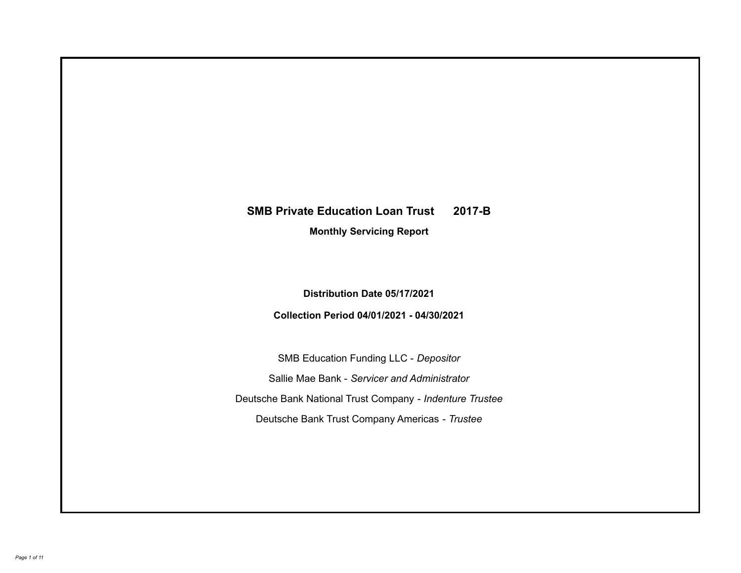# **SMB Private Education Loan Trust 2017-B**

**Monthly Servicing Report**

**Distribution Date 05/17/2021**

**Collection Period 04/01/2021 - 04/30/2021**

SMB Education Funding LLC - *Depositor* Sallie Mae Bank - *Servicer and Administrator* Deutsche Bank National Trust Company - *Indenture Trustee* Deutsche Bank Trust Company Americas - *Trustee*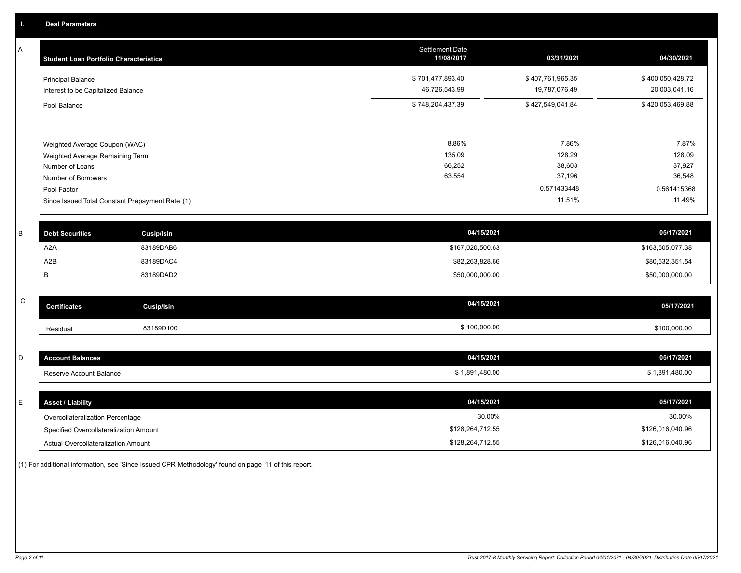A

| Α           | <b>Student Loan Portfolio Characteristics</b>                  |                                                 | <b>Settlement Date</b><br>11/08/2017 | 03/31/2021                        | 04/30/2021                        |
|-------------|----------------------------------------------------------------|-------------------------------------------------|--------------------------------------|-----------------------------------|-----------------------------------|
|             | <b>Principal Balance</b><br>Interest to be Capitalized Balance |                                                 | \$701,477,893.40<br>46,726,543.99    | \$407,761,965.35<br>19,787,076.49 | \$400,050,428.72<br>20,003,041.16 |
|             | Pool Balance                                                   |                                                 | \$748,204,437.39                     | \$427,549,041.84                  | \$420,053,469.88                  |
|             | Weighted Average Coupon (WAC)                                  |                                                 | 8.86%                                | 7.86%                             | 7.87%                             |
|             | Weighted Average Remaining Term                                |                                                 | 135.09                               | 128.29                            | 128.09                            |
|             | Number of Loans                                                |                                                 | 66,252                               | 38,603                            | 37,927                            |
|             | Number of Borrowers                                            |                                                 | 63,554                               | 37,196                            | 36,548                            |
|             | Pool Factor                                                    |                                                 |                                      | 0.571433448                       | 0.561415368                       |
|             |                                                                | Since Issued Total Constant Prepayment Rate (1) |                                      | 11.51%                            | 11.49%                            |
| B           | <b>Debt Securities</b>                                         | <b>Cusip/Isin</b>                               | 04/15/2021                           |                                   | 05/17/2021                        |
|             | A2A                                                            | 83189DAB6                                       | \$167,020,500.63                     |                                   | \$163,505,077.38                  |
|             | A2B                                                            | 83189DAC4                                       | \$82,263,828.66                      |                                   | \$80,532,351.54                   |
|             | B                                                              | 83189DAD2                                       | \$50,000,000.00                      |                                   | \$50,000,000.00                   |
|             |                                                                |                                                 |                                      |                                   |                                   |
| $\mathsf C$ | <b>Certificates</b>                                            | <b>Cusip/Isin</b>                               | 04/15/2021                           |                                   | 05/17/2021                        |
|             | Residual                                                       | 83189D100                                       | \$100,000.00                         |                                   | \$100,000.00                      |
|             |                                                                |                                                 |                                      |                                   |                                   |

| <b>Account Balances</b> | 04/15/2021                    | 05/17/2021     |
|-------------------------|-------------------------------|----------------|
| Reserve Account Balance | ,480.00<br>$\overline{a}$<br> | ,480.00<br>901 |

| <b>Asset / Liability</b>               | 04/15/2021       | 05/17/2021       |
|----------------------------------------|------------------|------------------|
| Overcollateralization Percentage       | 30.00%           | 30.00%           |
| Specified Overcollateralization Amount | \$128,264,712.55 | \$126,016,040.96 |
| Actual Overcollateralization Amount    | \$128,264,712.55 | \$126,016,040.96 |

(1) For additional information, see 'Since Issued CPR Methodology' found on page 11 of this report.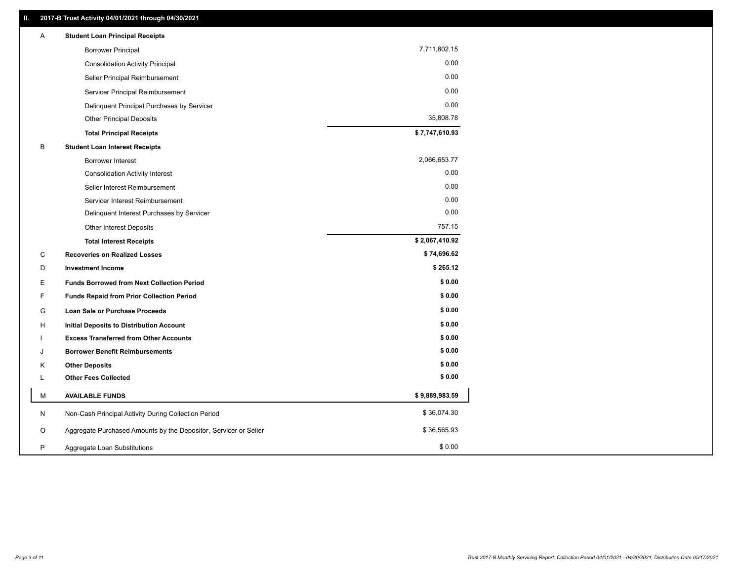| Α | <b>Student Loan Principal Receipts</b>                           |                |
|---|------------------------------------------------------------------|----------------|
|   | <b>Borrower Principal</b>                                        | 7,711,802.15   |
|   | <b>Consolidation Activity Principal</b>                          | 0.00           |
|   | Seller Principal Reimbursement                                   | 0.00           |
|   | Servicer Principal Reimbursement                                 | 0.00           |
|   | Delinquent Principal Purchases by Servicer                       | 0.00           |
|   | <b>Other Principal Deposits</b>                                  | 35,808.78      |
|   | <b>Total Principal Receipts</b>                                  | \$7,747,610.93 |
| В | <b>Student Loan Interest Receipts</b>                            |                |
|   | <b>Borrower Interest</b>                                         | 2,066,653.77   |
|   | <b>Consolidation Activity Interest</b>                           | 0.00           |
|   | Seller Interest Reimbursement                                    | 0.00           |
|   | Servicer Interest Reimbursement                                  | 0.00           |
|   | Delinquent Interest Purchases by Servicer                        | 0.00           |
|   | Other Interest Deposits                                          | 757.15         |
|   | <b>Total Interest Receipts</b>                                   | \$2,067,410.92 |
| C | <b>Recoveries on Realized Losses</b>                             | \$74,696.62    |
| D | <b>Investment Income</b>                                         | \$265.12       |
| Е | <b>Funds Borrowed from Next Collection Period</b>                | \$0.00         |
| F | <b>Funds Repaid from Prior Collection Period</b>                 | \$0.00         |
| G | Loan Sale or Purchase Proceeds                                   | \$0.00         |
| н | Initial Deposits to Distribution Account                         | \$0.00         |
|   | <b>Excess Transferred from Other Accounts</b>                    | \$0.00         |
| J | <b>Borrower Benefit Reimbursements</b>                           | \$0.00         |
| Κ | <b>Other Deposits</b>                                            | \$0.00         |
| L | <b>Other Fees Collected</b>                                      | \$0.00         |
| М | <b>AVAILABLE FUNDS</b>                                           | \$9,889,983.59 |
| N | Non-Cash Principal Activity During Collection Period             | \$36,074.30    |
| O | Aggregate Purchased Amounts by the Depositor, Servicer or Seller | \$36,565.93    |
| P | Aggregate Loan Substitutions                                     | \$0.00         |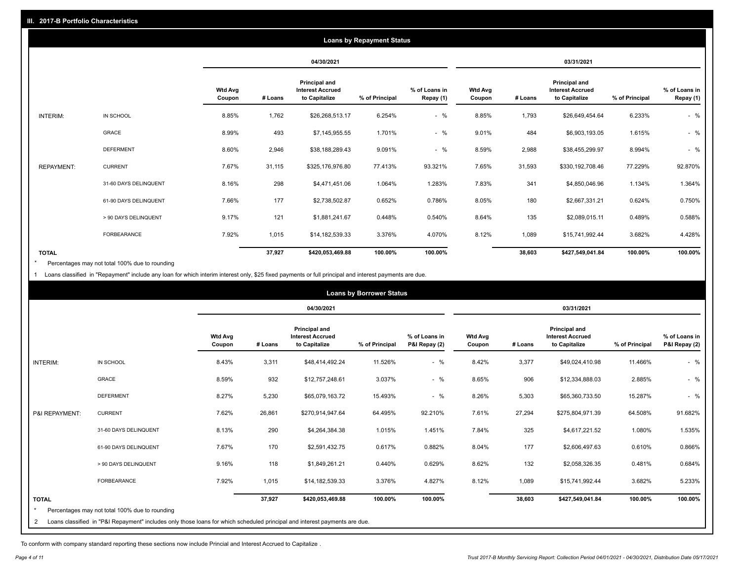| <b>Loans by Repayment Status</b> |                       |                          |         |                                                           |                |                            |                          |         |                                                                  |                |                            |
|----------------------------------|-----------------------|--------------------------|---------|-----------------------------------------------------------|----------------|----------------------------|--------------------------|---------|------------------------------------------------------------------|----------------|----------------------------|
|                                  |                       |                          |         | 04/30/2021                                                |                |                            |                          |         | 03/31/2021                                                       |                |                            |
|                                  |                       | <b>Wtd Avg</b><br>Coupon | # Loans | Principal and<br><b>Interest Accrued</b><br>to Capitalize | % of Principal | % of Loans in<br>Repay (1) | <b>Wtd Avg</b><br>Coupon | # Loans | <b>Principal and</b><br><b>Interest Accrued</b><br>to Capitalize | % of Principal | % of Loans in<br>Repay (1) |
| INTERIM:                         | IN SCHOOL             | 8.85%                    | 1,762   | \$26,268,513.17                                           | 6.254%         | $-$ %                      | 8.85%                    | 1,793   | \$26,649,454.64                                                  | 6.233%         | $-$ %                      |
|                                  | GRACE                 | 8.99%                    | 493     | \$7,145,955.55                                            | 1.701%         | $-$ %                      | 9.01%                    | 484     | \$6,903,193.05                                                   | 1.615%         | $-$ %                      |
|                                  | <b>DEFERMENT</b>      | 8.60%                    | 2,946   | \$38,188,289.43                                           | 9.091%         | $-$ %                      | 8.59%                    | 2,988   | \$38,455,299.97                                                  | 8.994%         | $-$ %                      |
| <b>REPAYMENT:</b>                | <b>CURRENT</b>        | 7.67%                    | 31,115  | \$325,176,976.80                                          | 77.413%        | 93.321%                    | 7.65%                    | 31,593  | \$330,192,708.46                                                 | 77.229%        | 92.870%                    |
|                                  | 31-60 DAYS DELINQUENT | 8.16%                    | 298     | \$4,471,451.06                                            | 1.064%         | 1.283%                     | 7.83%                    | 341     | \$4,850,046.96                                                   | 1.134%         | 1.364%                     |
|                                  | 61-90 DAYS DELINQUENT | 7.66%                    | 177     | \$2,738,502.87                                            | 0.652%         | 0.786%                     | 8.05%                    | 180     | \$2,667,331.21                                                   | 0.624%         | 0.750%                     |
|                                  | > 90 DAYS DELINQUENT  | 9.17%                    | 121     | \$1,881,241.67                                            | 0.448%         | 0.540%                     | 8.64%                    | 135     | \$2,089,015.11                                                   | 0.489%         | 0.588%                     |
|                                  | <b>FORBEARANCE</b>    | 7.92%                    | 1,015   | \$14,182,539.33                                           | 3.376%         | 4.070%                     | 8.12%                    | 1,089   | \$15,741,992.44                                                  | 3.682%         | 4.428%                     |
| <b>TOTAL</b>                     |                       |                          | 37,927  | \$420,053,469.88                                          | 100.00%        | 100.00%                    |                          | 38,603  | \$427,549,041.84                                                 | 100.00%        | 100.00%                    |

Percentages may not total 100% due to rounding  $\pmb{\ast}$ 

1 Loans classified in "Repayment" include any loan for which interim interest only, \$25 fixed payments or full principal and interest payments are due.

|                |                                                                                                                            | <b>Loans by Borrower Status</b> |         |                                                           |                |                                |                          |         |                                                                  |                |                                |
|----------------|----------------------------------------------------------------------------------------------------------------------------|---------------------------------|---------|-----------------------------------------------------------|----------------|--------------------------------|--------------------------|---------|------------------------------------------------------------------|----------------|--------------------------------|
|                |                                                                                                                            |                                 |         | 04/30/2021                                                |                |                                |                          |         | 03/31/2021                                                       |                |                                |
|                |                                                                                                                            | <b>Wtd Avg</b><br>Coupon        | # Loans | Principal and<br><b>Interest Accrued</b><br>to Capitalize | % of Principal | % of Loans in<br>P&I Repay (2) | <b>Wtd Avg</b><br>Coupon | # Loans | <b>Principal and</b><br><b>Interest Accrued</b><br>to Capitalize | % of Principal | % of Loans in<br>P&I Repay (2) |
| INTERIM:       | IN SCHOOL                                                                                                                  | 8.43%                           | 3,311   | \$48,414,492.24                                           | 11.526%        | $-$ %                          | 8.42%                    | 3,377   | \$49,024,410.98                                                  | 11.466%        | $-$ %                          |
|                | <b>GRACE</b>                                                                                                               | 8.59%                           | 932     | \$12,757,248.61                                           | 3.037%         | $-$ %                          | 8.65%                    | 906     | \$12,334,888.03                                                  | 2.885%         | $-$ %                          |
|                | <b>DEFERMENT</b>                                                                                                           | 8.27%                           | 5,230   | \$65,079,163.72                                           | 15.493%        | $-$ %                          | 8.26%                    | 5,303   | \$65,360,733.50                                                  | 15.287%        | $-$ %                          |
| P&I REPAYMENT: | <b>CURRENT</b>                                                                                                             | 7.62%                           | 26,861  | \$270,914,947.64                                          | 64.495%        | 92.210%                        | 7.61%                    | 27,294  | \$275,804,971.39                                                 | 64.508%        | 91.682%                        |
|                | 31-60 DAYS DELINQUENT                                                                                                      | 8.13%                           | 290     | \$4,264,384.38                                            | 1.015%         | 1.451%                         | 7.84%                    | 325     | \$4,617,221.52                                                   | 1.080%         | 1.535%                         |
|                | 61-90 DAYS DELINQUENT                                                                                                      | 7.67%                           | 170     | \$2,591,432.75                                            | 0.617%         | 0.882%                         | 8.04%                    | 177     | \$2,606,497.63                                                   | 0.610%         | 0.866%                         |
|                | > 90 DAYS DELINQUENT                                                                                                       | 9.16%                           | 118     | \$1,849,261.21                                            | 0.440%         | 0.629%                         | 8.62%                    | 132     | \$2,058,326.35                                                   | 0.481%         | 0.684%                         |
|                | FORBEARANCE                                                                                                                | 7.92%                           | 1,015   | \$14,182,539.33                                           | 3.376%         | 4.827%                         | 8.12%                    | 1,089   | \$15,741,992.44                                                  | 3.682%         | 5.233%                         |
| <b>TOTAL</b>   | Percentages may not total 100% due to rounding                                                                             |                                 | 37,927  | \$420,053,469.88                                          | 100.00%        | 100.00%                        |                          | 38,603  | \$427,549,041.84                                                 | 100.00%        | 100.00%                        |
| 2              | Loans classified in "P&I Repayment" includes only those loans for which scheduled principal and interest payments are due. |                                 |         |                                                           |                |                                |                          |         |                                                                  |                |                                |

To conform with company standard reporting these sections now include Princial and Interest Accrued to Capitalize .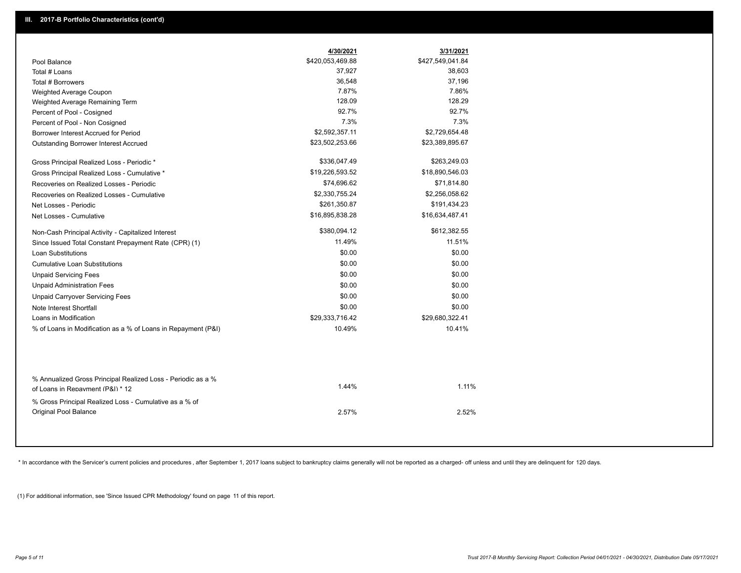|                                                                                                  | 4/30/2021        | 3/31/2021        |  |
|--------------------------------------------------------------------------------------------------|------------------|------------------|--|
| Pool Balance                                                                                     | \$420,053,469.88 | \$427,549,041.84 |  |
| Total # Loans                                                                                    | 37,927           | 38,603           |  |
| Total # Borrowers                                                                                | 36,548           | 37,196           |  |
| Weighted Average Coupon                                                                          | 7.87%            | 7.86%            |  |
| Weighted Average Remaining Term                                                                  | 128.09           | 128.29           |  |
| Percent of Pool - Cosigned                                                                       | 92.7%            | 92.7%            |  |
| Percent of Pool - Non Cosigned                                                                   | 7.3%             | 7.3%             |  |
| Borrower Interest Accrued for Period                                                             | \$2,592,357.11   | \$2,729,654.48   |  |
| Outstanding Borrower Interest Accrued                                                            | \$23,502,253.66  | \$23,389,895.67  |  |
| Gross Principal Realized Loss - Periodic *                                                       | \$336,047.49     | \$263,249.03     |  |
| Gross Principal Realized Loss - Cumulative *                                                     | \$19,226,593.52  | \$18,890,546.03  |  |
| Recoveries on Realized Losses - Periodic                                                         | \$74,696.62      | \$71,814.80      |  |
| Recoveries on Realized Losses - Cumulative                                                       | \$2,330,755.24   | \$2,256,058.62   |  |
| Net Losses - Periodic                                                                            | \$261,350.87     | \$191,434.23     |  |
| Net Losses - Cumulative                                                                          | \$16,895,838.28  | \$16,634,487.41  |  |
| Non-Cash Principal Activity - Capitalized Interest                                               | \$380,094.12     | \$612,382.55     |  |
| Since Issued Total Constant Prepayment Rate (CPR) (1)                                            | 11.49%           | 11.51%           |  |
| <b>Loan Substitutions</b>                                                                        | \$0.00           | \$0.00           |  |
| <b>Cumulative Loan Substitutions</b>                                                             | \$0.00           | \$0.00           |  |
| <b>Unpaid Servicing Fees</b>                                                                     | \$0.00           | \$0.00           |  |
| <b>Unpaid Administration Fees</b>                                                                | \$0.00           | \$0.00           |  |
| <b>Unpaid Carryover Servicing Fees</b>                                                           | \$0.00           | \$0.00           |  |
| Note Interest Shortfall                                                                          | \$0.00           | \$0.00           |  |
| Loans in Modification                                                                            | \$29,333,716.42  | \$29,680,322.41  |  |
| % of Loans in Modification as a % of Loans in Repayment (P&I)                                    | 10.49%           | 10.41%           |  |
|                                                                                                  |                  |                  |  |
| % Annualized Gross Principal Realized Loss - Periodic as a %<br>of Loans in Repayment (P&I) * 12 | 1.44%            | 1.11%            |  |
| % Gross Principal Realized Loss - Cumulative as a % of                                           |                  |                  |  |
| Original Pool Balance                                                                            | 2.57%            | 2.52%            |  |

\* In accordance with the Servicer's current policies and procedures, after September 1, 2017 loans subject to bankruptcy claims generally will not be reported as a charged- off unless and until they are delinquent for 120

(1) For additional information, see 'Since Issued CPR Methodology' found on page 11 of this report.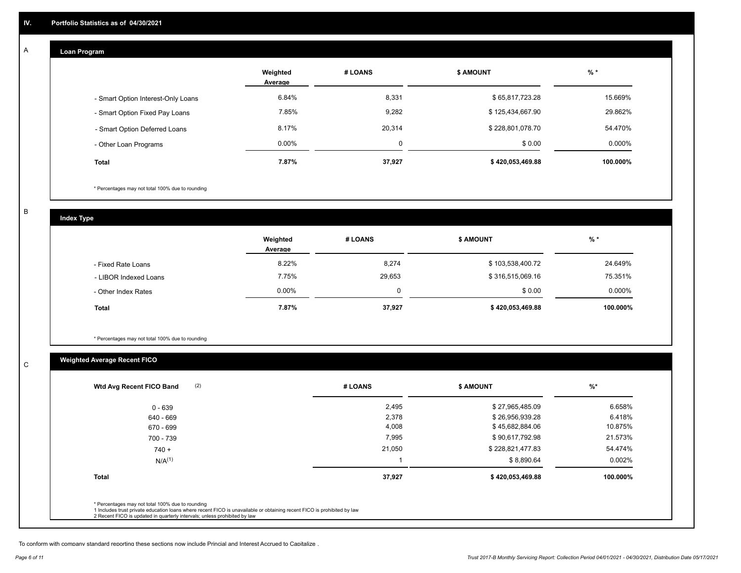#### **Loan Program**  A

|                                    | Weighted<br>Average | # LOANS  | <b>\$ AMOUNT</b> | $%$ *     |
|------------------------------------|---------------------|----------|------------------|-----------|
| - Smart Option Interest-Only Loans | 6.84%               | 8,331    | \$65,817,723.28  | 15.669%   |
| - Smart Option Fixed Pay Loans     | 7.85%               | 9,282    | \$125,434,667.90 | 29.862%   |
| - Smart Option Deferred Loans      | 8.17%               | 20,314   | \$228,801,078.70 | 54.470%   |
| - Other Loan Programs              | $0.00\%$            | $\Omega$ | \$0.00           | $0.000\%$ |
| <b>Total</b>                       | 7.87%               | 37,927   | \$420,053,469.88 | 100.000%  |

\* Percentages may not total 100% due to rounding

B

C

**Index Type**

|                       | Weighted<br>Average | # LOANS | <b>\$ AMOUNT</b> | $%$ *     |
|-----------------------|---------------------|---------|------------------|-----------|
| - Fixed Rate Loans    | 8.22%               | 8,274   | \$103,538,400.72 | 24.649%   |
| - LIBOR Indexed Loans | 7.75%               | 29,653  | \$316,515,069.16 | 75.351%   |
| - Other Index Rates   | $0.00\%$            |         | \$0.00           | $0.000\%$ |
| <b>Total</b>          | 7.87%               | 37,927  | \$420,053,469.88 | 100.000%  |

\* Percentages may not total 100% due to rounding

## **Weighted Average Recent FICO**

| $0 - 639$<br>640 - 669 | 2,495<br>2,378 | \$27,965,485.09  | 6.658%    |
|------------------------|----------------|------------------|-----------|
|                        |                |                  |           |
|                        |                | \$26,956,939.28  | 6.418%    |
| 670 - 699              | 4,008          | \$45,682,884.06  | 10.875%   |
| 700 - 739              | 7,995          | \$90,617,792.98  | 21.573%   |
| $740 +$                | 21,050         | \$228,821,477.83 | 54.474%   |
| $N/A^{(1)}$            |                | \$8,890.64       | $0.002\%$ |
| <b>Total</b>           | 37,927         | \$420,053,469.88 | 100.000%  |

To conform with company standard reporting these sections now include Princial and Interest Accrued to Capitalize .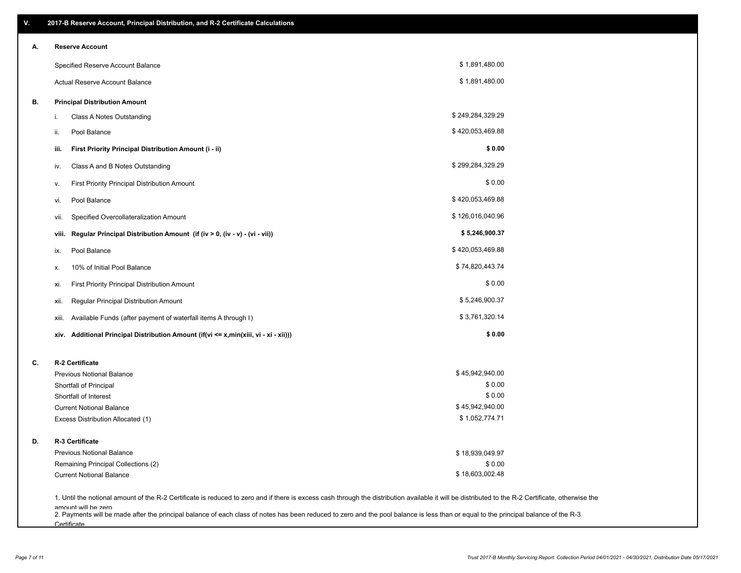| ۷. | 2017-B Reserve Account, Principal Distribution, and R-2 Certificate Calculations                                                                                                                                          |                  |  |
|----|---------------------------------------------------------------------------------------------------------------------------------------------------------------------------------------------------------------------------|------------------|--|
| Α. | <b>Reserve Account</b>                                                                                                                                                                                                    |                  |  |
|    | Specified Reserve Account Balance                                                                                                                                                                                         | \$1,891,480.00   |  |
|    | Actual Reserve Account Balance                                                                                                                                                                                            | \$1,891,480.00   |  |
| В. | <b>Principal Distribution Amount</b>                                                                                                                                                                                      |                  |  |
|    | Class A Notes Outstanding<br>i.                                                                                                                                                                                           | \$249,284,329.29 |  |
|    | Pool Balance<br>ii.                                                                                                                                                                                                       | \$420,053,469.88 |  |
|    | First Priority Principal Distribution Amount (i - ii)<br>iii.                                                                                                                                                             | \$0.00           |  |
|    | Class A and B Notes Outstanding<br>iv.                                                                                                                                                                                    | \$299,284,329.29 |  |
|    | First Priority Principal Distribution Amount<br>۷.                                                                                                                                                                        | \$0.00           |  |
|    | Pool Balance<br>VI.                                                                                                                                                                                                       | \$420,053,469.88 |  |
|    | Specified Overcollateralization Amount<br>vii.                                                                                                                                                                            | \$126,016,040.96 |  |
|    | Regular Principal Distribution Amount (if (iv > 0, (iv - v) - (vi - vii))<br>viii.                                                                                                                                        | \$5,246,900.37   |  |
|    | Pool Balance<br>ix.                                                                                                                                                                                                       | \$420,053,469.88 |  |
|    | 10% of Initial Pool Balance<br>х.                                                                                                                                                                                         | \$74,820,443.74  |  |
|    | First Priority Principal Distribution Amount<br>xi.                                                                                                                                                                       | \$0.00           |  |
|    | Regular Principal Distribution Amount<br>xii.                                                                                                                                                                             | \$5,246,900.37   |  |
|    | Available Funds (after payment of waterfall items A through I)<br>xiii.                                                                                                                                                   | \$3,761,320.14   |  |
|    | Additional Principal Distribution Amount (if(vi <= x,min(xiii, vi - xi - xii)))<br>xiv.                                                                                                                                   | \$0.00           |  |
| C. | R-2 Certificate                                                                                                                                                                                                           |                  |  |
|    | <b>Previous Notional Balance</b>                                                                                                                                                                                          | \$45,942,940.00  |  |
|    | Shortfall of Principal                                                                                                                                                                                                    | \$0.00           |  |
|    | Shortfall of Interest                                                                                                                                                                                                     | \$0.00           |  |
|    | <b>Current Notional Balance</b>                                                                                                                                                                                           | \$45,942,940.00  |  |
|    | Excess Distribution Allocated (1)                                                                                                                                                                                         | \$1,052,774.71   |  |
| D. | R-3 Certificate                                                                                                                                                                                                           |                  |  |
|    | <b>Previous Notional Balance</b>                                                                                                                                                                                          | \$18,939,049.97  |  |
|    | Remaining Principal Collections (2)                                                                                                                                                                                       | \$0.00           |  |
|    | <b>Current Notional Balance</b>                                                                                                                                                                                           | \$18,603,002.48  |  |
|    | 1. Until the notional amount of the R-2 Certificate is reduced to zero and if there is excess cash through the distribution available it will be distributed to the R-2 Certificate, otherwise the<br>amount will be zero |                  |  |

amount will be zero<br>2. Payments will be made after the principal balance of each class of notes has been reduced to zero and the pool balance is less than or equal to the principal balance of the R-3 **Certificate**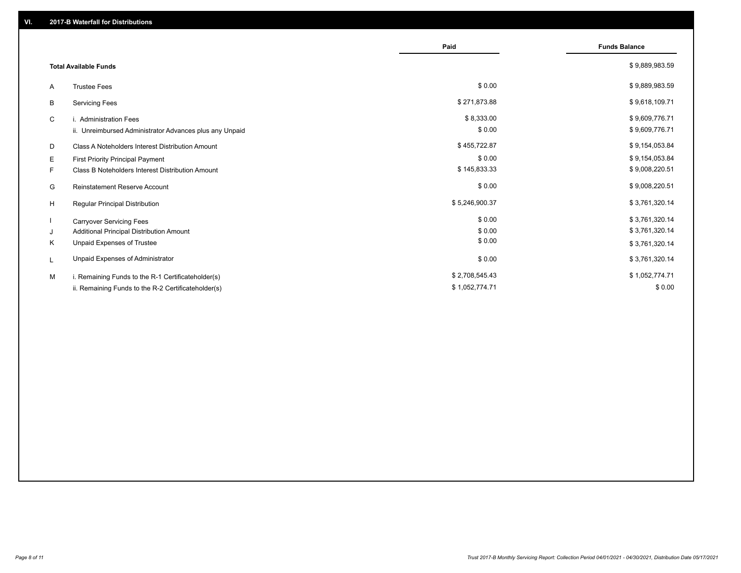|                                                         |                                                         | Paid           | <b>Funds Balance</b> |
|---------------------------------------------------------|---------------------------------------------------------|----------------|----------------------|
| <b>Total Available Funds</b>                            |                                                         |                | \$9,889,983.59       |
| <b>Trustee Fees</b><br>A                                |                                                         | \$0.00         | \$9,889,983.59       |
| В<br><b>Servicing Fees</b>                              |                                                         | \$271,873.88   | \$9,618,109.71       |
| C<br>i. Administration Fees                             |                                                         | \$8,333.00     | \$9,609,776.71       |
|                                                         | ii. Unreimbursed Administrator Advances plus any Unpaid | \$0.00         | \$9,609,776.71       |
| Class A Noteholders Interest Distribution Amount<br>D   |                                                         | \$455,722.87   | \$9,154,053.84       |
| Е<br><b>First Priority Principal Payment</b>            |                                                         | \$0.00         | \$9,154,053.84       |
| Class B Noteholders Interest Distribution Amount<br>F.  |                                                         | \$145,833.33   | \$9,008,220.51       |
| G<br><b>Reinstatement Reserve Account</b>               |                                                         | \$0.00         | \$9,008,220.51       |
| H<br>Regular Principal Distribution                     |                                                         | \$5,246,900.37 | \$3,761,320.14       |
| <b>Carryover Servicing Fees</b>                         |                                                         | \$0.00         | \$3,761,320.14       |
| Additional Principal Distribution Amount<br>J           |                                                         | \$0.00         | \$3,761,320.14       |
| Unpaid Expenses of Trustee<br>Κ                         |                                                         | \$0.00         | \$3,761,320.14       |
| Unpaid Expenses of Administrator<br>L                   |                                                         | \$0.00         | \$3,761,320.14       |
| i. Remaining Funds to the R-1 Certificateholder(s)<br>м |                                                         | \$2,708,545.43 | \$1,052,774.71       |
| ii. Remaining Funds to the R-2 Certificateholder(s)     |                                                         | \$1,052,774.71 | \$0.00               |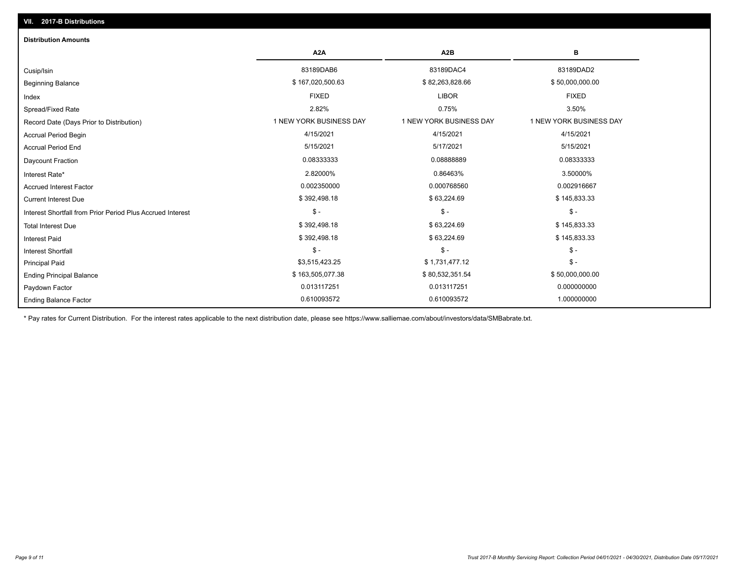| <b>Distribution Amounts</b>                                |                         |                         |                         |
|------------------------------------------------------------|-------------------------|-------------------------|-------------------------|
|                                                            | A <sub>2</sub> A        | A <sub>2</sub> B        | в                       |
| Cusip/Isin                                                 | 83189DAB6               | 83189DAC4               | 83189DAD2               |
| <b>Beginning Balance</b>                                   | \$167,020,500.63        | \$82,263,828.66         | \$50,000,000.00         |
| Index                                                      | <b>FIXED</b>            | <b>LIBOR</b>            | <b>FIXED</b>            |
| Spread/Fixed Rate                                          | 2.82%                   | 0.75%                   | 3.50%                   |
| Record Date (Days Prior to Distribution)                   | 1 NEW YORK BUSINESS DAY | 1 NEW YORK BUSINESS DAY | 1 NEW YORK BUSINESS DAY |
| <b>Accrual Period Begin</b>                                | 4/15/2021               | 4/15/2021               | 4/15/2021               |
| <b>Accrual Period End</b>                                  | 5/15/2021               | 5/17/2021               | 5/15/2021               |
| Daycount Fraction                                          | 0.08333333              | 0.08888889              | 0.08333333              |
| Interest Rate*                                             | 2.82000%                | 0.86463%                | 3.50000%                |
| <b>Accrued Interest Factor</b>                             | 0.002350000             | 0.000768560             | 0.002916667             |
| <b>Current Interest Due</b>                                | \$392,498.18            | \$63,224.69             | \$145,833.33            |
| Interest Shortfall from Prior Period Plus Accrued Interest | $$ -$                   | $\mathcal{S}$ -         | $\mathsf{\$}$ -         |
| <b>Total Interest Due</b>                                  | \$392,498.18            | \$63,224.69             | \$145,833.33            |
| <b>Interest Paid</b>                                       | \$392,498.18            | \$63,224.69             | \$145,833.33            |
| <b>Interest Shortfall</b>                                  | $$ -$                   | $\mathsf{\$}$ -         | $$ -$                   |
| <b>Principal Paid</b>                                      | \$3,515,423.25          | \$1,731,477.12          | $\mathsf{\$}$ -         |
| <b>Ending Principal Balance</b>                            | \$163,505,077.38        | \$80,532,351.54         | \$50,000,000.00         |
| Paydown Factor                                             | 0.013117251             | 0.013117251             | 0.000000000             |
| <b>Ending Balance Factor</b>                               | 0.610093572             | 0.610093572             | 1.000000000             |

\* Pay rates for Current Distribution. For the interest rates applicable to the next distribution date, please see https://www.salliemae.com/about/investors/data/SMBabrate.txt.

**VII. 2017-B Distributions**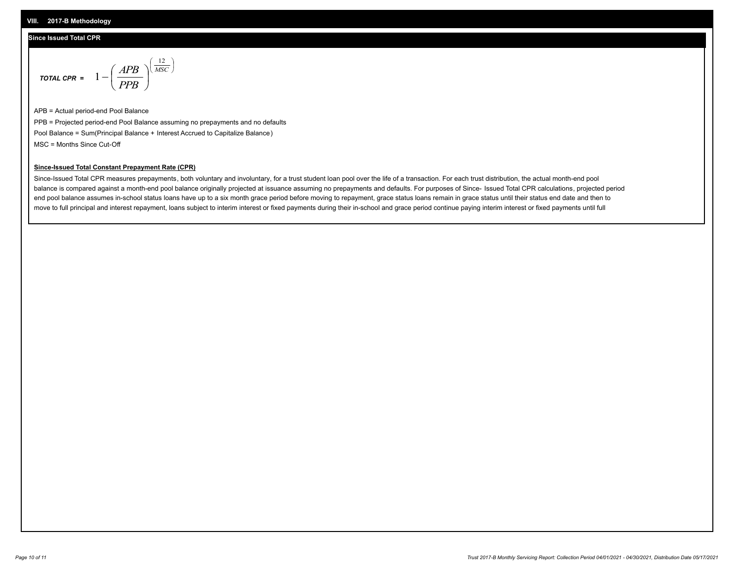#### **VIII. 2017-B Methodology**

#### **Since Issued Total CPR**

$$
\text{total CPR} = 1 - \left(\frac{APB}{PPB}\right)^{\left(\frac{12}{MSC}\right)}
$$

APB = Actual period-end Pool Balance PPB = Projected period-end Pool Balance assuming no prepayments and no defaults Pool Balance = Sum(Principal Balance + Interest Accrued to Capitalize Balance) MSC = Months Since Cut-Off

 $\mathsf{I}$ J λ

### **Since-Issued Total Constant Prepayment Rate (CPR)**

Since-Issued Total CPR measures prepayments, both voluntary and involuntary, for a trust student loan pool over the life of a transaction. For each trust distribution, the actual month-end pool balance is compared against a month-end pool balance originally projected at issuance assuming no prepayments and defaults. For purposes of Since- Issued Total CPR calculations, projected period end pool balance assumes in-school status loans have up to a six month grace period before moving to repayment, grace status loans remain in grace status until their status end date and then to move to full principal and interest repayment, loans subject to interim interest or fixed payments during their in-school and grace period continue paying interim interest or fixed payments until full